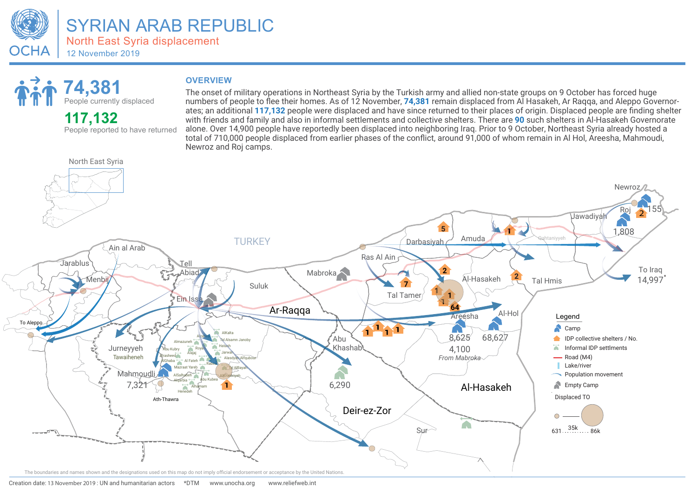

# **People currently displaced**<br> **People currently displaced**<br> **People currently displaced**<br> **OVERVIEW**<br> **The onset of pumbers of p**

### **117,132**

People reported to have returned

The onset of military operations in Northeast Syria by the Turkish army and allied non-state groups on 9 October has forced huge numbers of people to flee their homes. As of 12 November, **74,381** remain displaced from Al Hasakeh, Ar Raqqa, and Aleppo Governorates; an additional **117,132** people were displaced and have since returned to their places of origin. Displaced people are finding shelter with friends and family and also in informal settlements and collective shelters. There are **90** such shelters in Al-Hasakeh Governorate alone. Over 14,900 people have reportedly been displaced into neighboring Iraq. Prior to 9 October, Northeast Syria already hosted a total of 710,000 people displaced from earlier phases of the conflict, around 91,000 of whom remain in Al Hol, Areesha, Mahmoudi, Newroz and Roj camps.